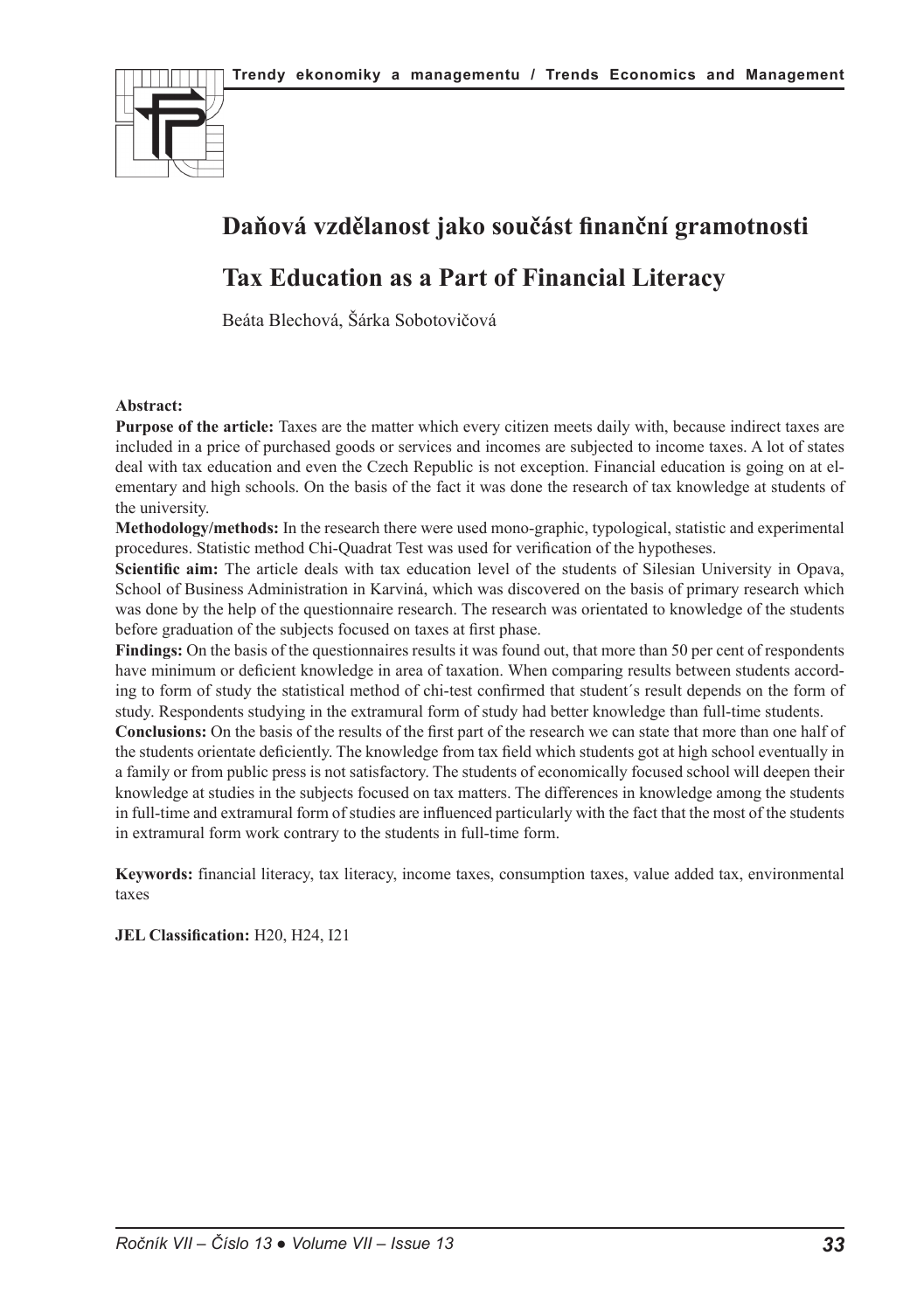

# **Daňová vzdělanost jako součást finanční gramotnosti**

# **Tax Education as a Part of Financial Literacy**

Beáta Blechová, Šárka Sobotovičová

#### **Abstract:**

**Purpose of the article:** Taxes are the matter which every citizen meets daily with, because indirect taxes are included in a price of purchased goods or services and incomes are subjected to income taxes. A lot of states deal with tax education and even the Czech Republic is not exception. Financial education is going on at elementary and high schools. On the basis of the fact it was done the research of tax knowledge at students of the university.

**Methodology/methods:** In the research there were used mono-graphic, typological, statistic and experimental procedures. Statistic method Chi-Quadrat Test was used for verification of the hypotheses.

**Scientific aim:** The article deals with tax education level of the students of Silesian University in Opava, School of Business Administration in Karviná, which was discovered on the basis of primary research which was done by the help of the questionnaire research. The research was orientated to knowledge of the students before graduation of the subjects focused on taxes at first phase.

**Findings:** On the basis of the questionnaires results it was found out, that more than 50 per cent of respondents have minimum or deficient knowledge in area of taxation. When comparing results between students according to form of study the statistical method of chi-test confirmed that student´s result depends on the form of study. Respondents studying in the extramural form of study had better knowledge than full-time students.

**Conclusions:** On the basis of the results of the first part of the research we can state that more than one half of the students orientate deficiently. The knowledge from tax field which students got at high school eventually in a family or from public press is not satisfactory. The students of economically focused school will deepen their knowledge at studies in the subjects focused on tax matters. The differences in knowledge among the students in full-time and extramural form of studies are influenced particularly with the fact that the most of the students in extramural form work contrary to the students in full-time form.

**Keywords:** financial literacy, tax literacy, income taxes, consumption taxes, value added tax, environmental taxes

**JEL Classification:** H20, H24, I21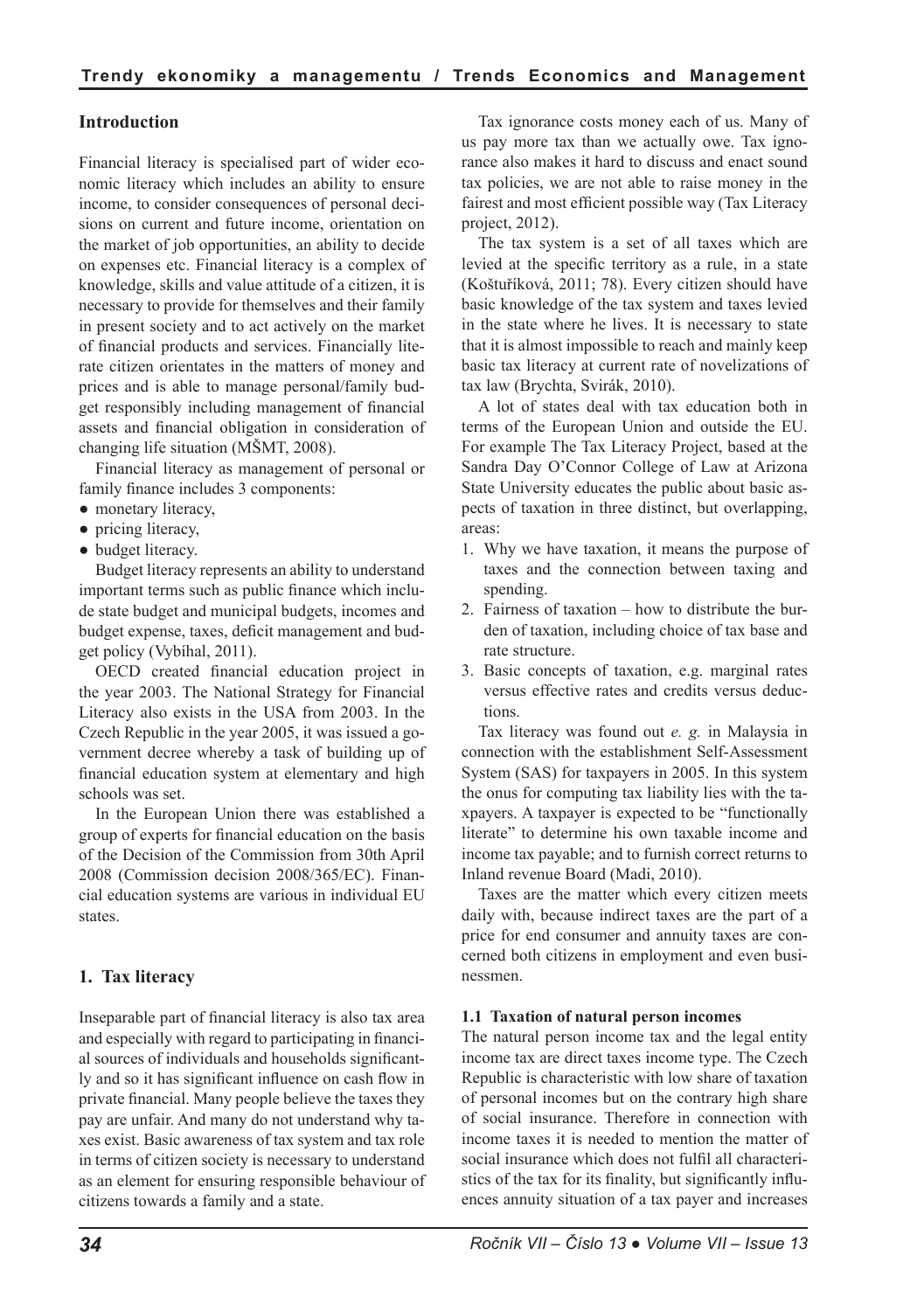# **Introduction**

Financial literacy is specialised part of wider economic literacy which includes an ability to ensure income, to consider consequences of personal decisions on current and future income, orientation on the market of job opportunities, an ability to decide on expenses etc. Financial literacy is a complex of knowledge, skills and value attitude of a citizen, it is necessary to provide for themselves and their family in present society and to act actively on the market of financial products and services. Financially literate citizen orientates in the matters of money and prices and is able to manage personal/family budget responsibly including management of financial assets and financial obligation in consideration of changing life situation (MŠMT, 2008).

Financial literacy as management of personal or family finance includes 3 components:

- monetary literacy,
- pricing literacy,
- budget literacy.

Budget literacy represents an ability to understand important terms such as public finance which include state budget and municipal budgets, incomes and budget expense, taxes, deficit management and budget policy (Vybíhal, 2011).

OECD created financial education project in the year 2003. The National Strategy for Financial Literacy also exists in the USA from 2003. In the Czech Republic in the year 2005, it was issued a government decree whereby a task of building up of financial education system at elementary and high schools was set.

In the European Union there was established a group of experts for financial education on the basis of the Decision of the Commission from 30th April 2008 (Commission decision 2008/365/EC). Financial education systems are various in individual EU states.

## **1. Tax literacy**

Inseparable part of financial literacy is also tax area and especially with regard to participating in financial sources of individuals and households significantly and so it has significant influence on cash flow in private financial. Many people believe the taxes they pay are unfair. And many do not understand why taxes exist. Basic awareness of tax system and tax role in terms of citizen society is necessary to understand as an element for ensuring responsible behaviour of citizens towards a family and a state.

Tax ignorance costs money each of us. Many of us pay more tax than we actually owe. Tax ignorance also makes it hard to discuss and enact sound tax policies, we are not able to raise money in the fairest and most efficient possible way (Tax Literacy project, 2012).

The tax system is a set of all taxes which are levied at the specific territory as a rule, in a state (Koštuříková, 2011; 78). Every citizen should have basic knowledge of the tax system and taxes levied in the state where he lives. It is necessary to state that it is almost impossible to reach and mainly keep basic tax literacy at current rate of novelizations of tax law (Brychta, Svirák, 2010).

A lot of states deal with tax education both in terms of the European Union and outside the EU. For example The Tax Literacy Project, based at the Sandra Day O'Connor College of Law at Arizona State University educates the public about basic aspects of taxation in three distinct, but overlapping, areas:

- 1. Why we have taxation, it means the purpose of taxes and the connection between taxing and spending.
- 2. Fairness of taxation how to distribute the burden of taxation, including choice of tax base and rate structure.
- 3. Basic concepts of taxation, e.g. marginal rates versus effective rates and credits versus deductions.

Tax literacy was found out *e. g.* in Malaysia in connection with the establishment Self-Assessment System (SAS) for taxpayers in 2005. In this system the onus for computing tax liability lies with the taxpayers. A taxpayer is expected to be "functionally literate" to determine his own taxable income and income tax payable; and to furnish correct returns to Inland revenue Board (Madi, 2010).

Taxes are the matter which every citizen meets daily with, because indirect taxes are the part of a price for end consumer and annuity taxes are concerned both citizens in employment and even businessmen.

#### **1.1 Taxation of natural person incomes**

The natural person income tax and the legal entity income tax are direct taxes income type. The Czech Republic is characteristic with low share of taxation of personal incomes but on the contrary high share of social insurance. Therefore in connection with income taxes it is needed to mention the matter of social insurance which does not fulfil all characteristics of the tax for its finality, but significantly influences annuity situation of a tax payer and increases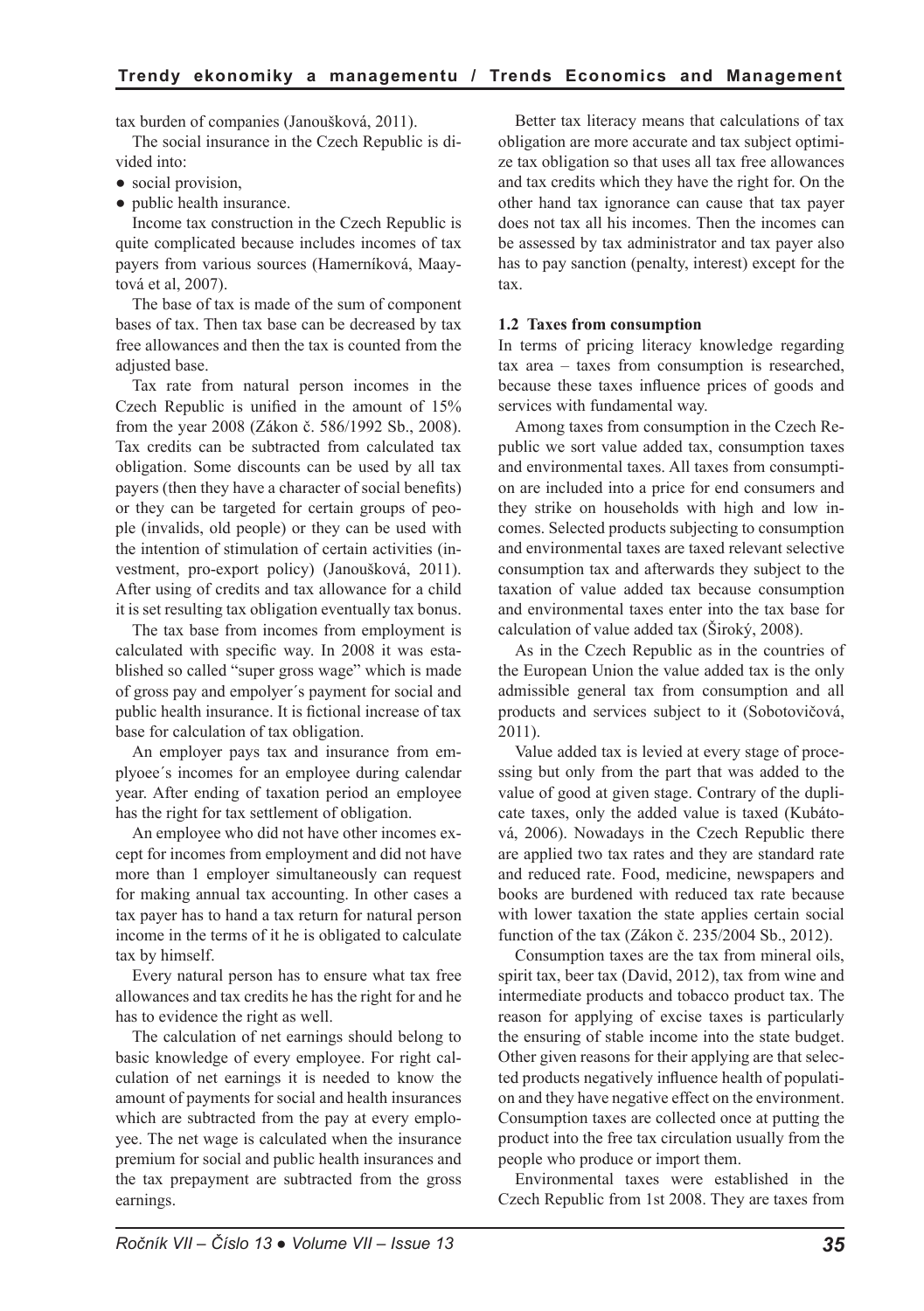tax burden of companies (Janoušková, 2011).

The social insurance in the Czech Republic is divided into:

- social provision,
- public health insurance.

Income tax construction in the Czech Republic is quite complicated because includes incomes of tax payers from various sources (Hamerníková, Maaytová et al, 2007).

The base of tax is made of the sum of component bases of tax. Then tax base can be decreased by tax free allowances and then the tax is counted from the adjusted base.

Tax rate from natural person incomes in the Czech Republic is unified in the amount of 15% from the year 2008 (Zákon č. 586/1992 Sb., 2008). Tax credits can be subtracted from calculated tax obligation. Some discounts can be used by all tax payers (then they have a character of social benefits) or they can be targeted for certain groups of people (invalids, old people) or they can be used with the intention of stimulation of certain activities (investment, pro-export policy) (Janoušková, 2011). After using of credits and tax allowance for a child it is set resulting tax obligation eventually tax bonus.

The tax base from incomes from employment is calculated with specific way. In 2008 it was established so called "super gross wage" which is made of gross pay and empolyer´s payment for social and public health insurance. It is fictional increase of tax base for calculation of tax obligation.

An employer pays tax and insurance from emplyoee´s incomes for an employee during calendar year. After ending of taxation period an employee has the right for tax settlement of obligation.

An employee who did not have other incomes except for incomes from employment and did not have more than 1 employer simultaneously can request for making annual tax accounting. In other cases a tax payer has to hand a tax return for natural person income in the terms of it he is obligated to calculate tax by himself.

Every natural person has to ensure what tax free allowances and tax credits he has the right for and he has to evidence the right as well.

The calculation of net earnings should belong to basic knowledge of every employee. For right calculation of net earnings it is needed to know the amount of payments for social and health insurances which are subtracted from the pay at every employee. The net wage is calculated when the insurance premium for social and public health insurances and the tax prepayment are subtracted from the gross earnings.

Better tax literacy means that calculations of tax obligation are more accurate and tax subject optimize tax obligation so that uses all tax free allowances and tax credits which they have the right for. On the other hand tax ignorance can cause that tax payer does not tax all his incomes. Then the incomes can be assessed by tax administrator and tax payer also has to pay sanction (penalty, interest) except for the tax.

#### **1.2 Taxes from consumption**

In terms of pricing literacy knowledge regarding tax area – taxes from consumption is researched, because these taxes influence prices of goods and services with fundamental way.

Among taxes from consumption in the Czech Republic we sort value added tax, consumption taxes and environmental taxes. All taxes from consumption are included into a price for end consumers and they strike on households with high and low incomes. Selected products subjecting to consumption and environmental taxes are taxed relevant selective consumption tax and afterwards they subject to the taxation of value added tax because consumption and environmental taxes enter into the tax base for calculation of value added tax (Široký, 2008).

As in the Czech Republic as in the countries of the European Union the value added tax is the only admissible general tax from consumption and all products and services subject to it (Sobotovičová, 2011).

Value added tax is levied at every stage of processing but only from the part that was added to the value of good at given stage. Contrary of the duplicate taxes, only the added value is taxed (Kubátová, 2006). Nowadays in the Czech Republic there are applied two tax rates and they are standard rate and reduced rate. Food, medicine, newspapers and books are burdened with reduced tax rate because with lower taxation the state applies certain social function of the tax (Zákon č. 235/2004 Sb., 2012).

Consumption taxes are the tax from mineral oils, spirit tax, beer tax (David, 2012), tax from wine and intermediate products and tobacco product tax. The reason for applying of excise taxes is particularly the ensuring of stable income into the state budget. Other given reasons for their applying are that selected products negatively influence health of population and they have negative effect on the environment. Consumption taxes are collected once at putting the product into the free tax circulation usually from the people who produce or import them.

Environmental taxes were established in the Czech Republic from 1st 2008. They are taxes from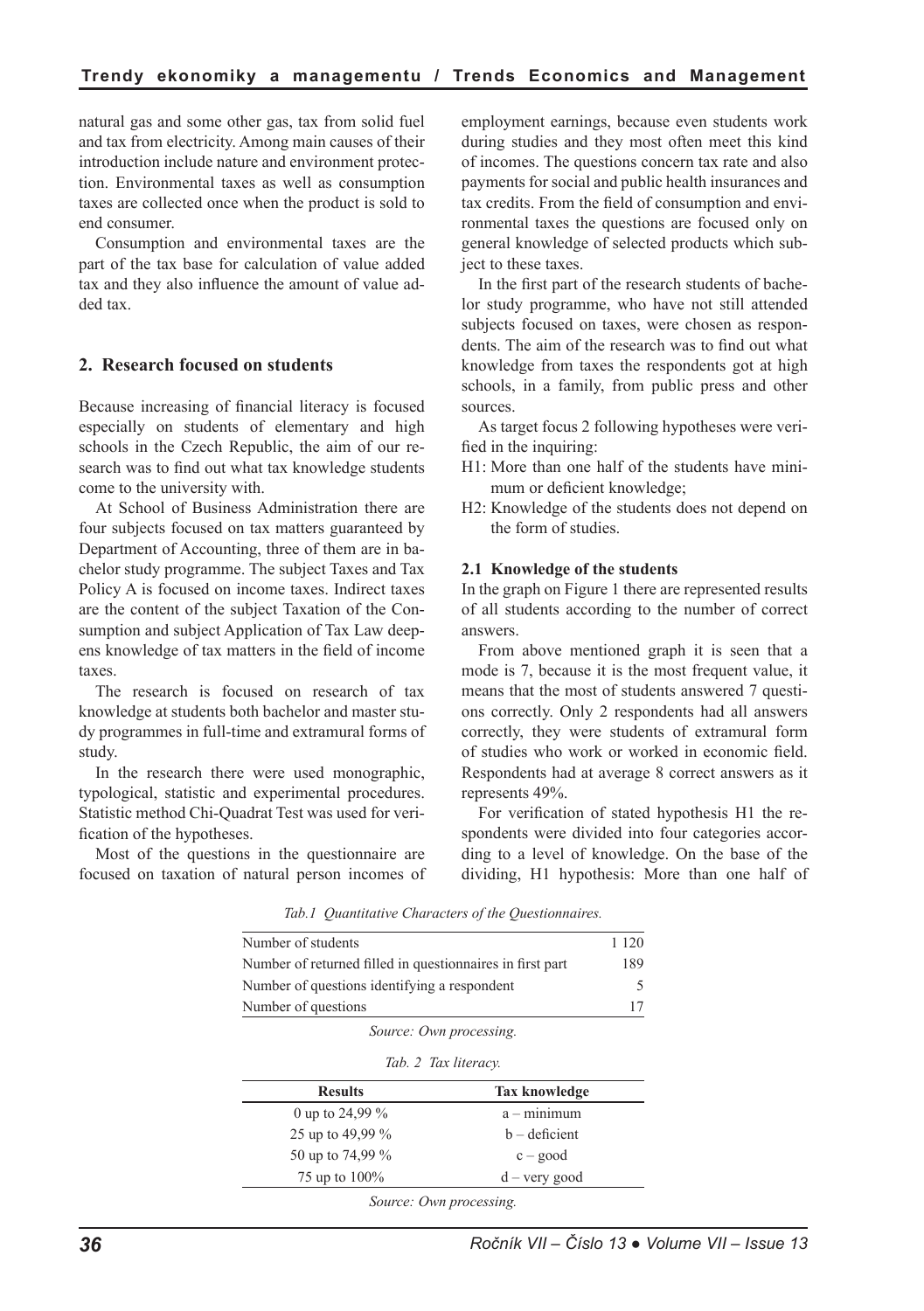natural gas and some other gas, tax from solid fuel and tax from electricity. Among main causes of their introduction include nature and environment protection. Environmental taxes as well as consumption taxes are collected once when the product is sold to end consumer.

Consumption and environmental taxes are the part of the tax base for calculation of value added tax and they also influence the amount of value added tax.

## **2. Research focused on students**

Because increasing of financial literacy is focused especially on students of elementary and high schools in the Czech Republic, the aim of our research was to find out what tax knowledge students come to the university with.

At School of Business Administration there are four subjects focused on tax matters guaranteed by Department of Accounting, three of them are in bachelor study programme. The subject Taxes and Tax Policy A is focused on income taxes. Indirect taxes are the content of the subject Taxation of the Consumption and subject Application of Tax Law deepens knowledge of tax matters in the field of income taxes.

The research is focused on research of tax knowledge at students both bachelor and master study programmes in full-time and extramural forms of study.

In the research there were used monographic, typological, statistic and experimental procedures. Statistic method Chi-Quadrat Test was used for verification of the hypotheses.

Most of the questions in the questionnaire are focused on taxation of natural person incomes of employment earnings, because even students work during studies and they most often meet this kind of incomes. The questions concern tax rate and also payments for social and public health insurances and tax credits. From the field of consumption and environmental taxes the questions are focused only on general knowledge of selected products which subject to these taxes.

In the first part of the research students of bachelor study programme, who have not still attended subjects focused on taxes, were chosen as respondents. The aim of the research was to find out what knowledge from taxes the respondents got at high schools, in a family, from public press and other sources.

As target focus 2 following hypotheses were verified in the inquiring:

- H1: More than one half of the students have minimum or deficient knowledge;
- H2: Knowledge of the students does not depend on the form of studies.

#### **2.1 Knowledge of the students**

In the graph on Figure 1 there are represented results of all students according to the number of correct answers.

From above mentioned graph it is seen that a mode is 7, because it is the most frequent value, it means that the most of students answered 7 questions correctly. Only 2 respondents had all answers correctly, they were students of extramural form of studies who work or worked in economic field. Respondents had at average 8 correct answers as it represents 49%.

For verification of stated hypothesis H1 the respondents were divided into four categories according to a level of knowledge. On the base of the dividing, H1 hypothesis: More than one half of

*Tab.1 Quantitative Characters of the Questionnaires.*

| Number of students                                        |                         |  |  |  |
|-----------------------------------------------------------|-------------------------|--|--|--|
| Number of returned filled in questionnaires in first part |                         |  |  |  |
| Number of questions identifying a respondent              |                         |  |  |  |
| Number of questions                                       |                         |  |  |  |
|                                                           | Source: Own processing. |  |  |  |
|                                                           | Tab. 2 Tax literacy.    |  |  |  |
| <b>Results</b>                                            | Tax knowledge           |  |  |  |
| 0 up to 24,99 $\%$                                        | $a - minimum$           |  |  |  |
| 25 up to 49,99 %                                          | $b -$ deficient         |  |  |  |
| 50 up to 74,99 %                                          | $c - good$              |  |  |  |
| 75 up to 100%                                             | $d - \text{very good}$  |  |  |  |
|                                                           |                         |  |  |  |

*Source: Own processing.*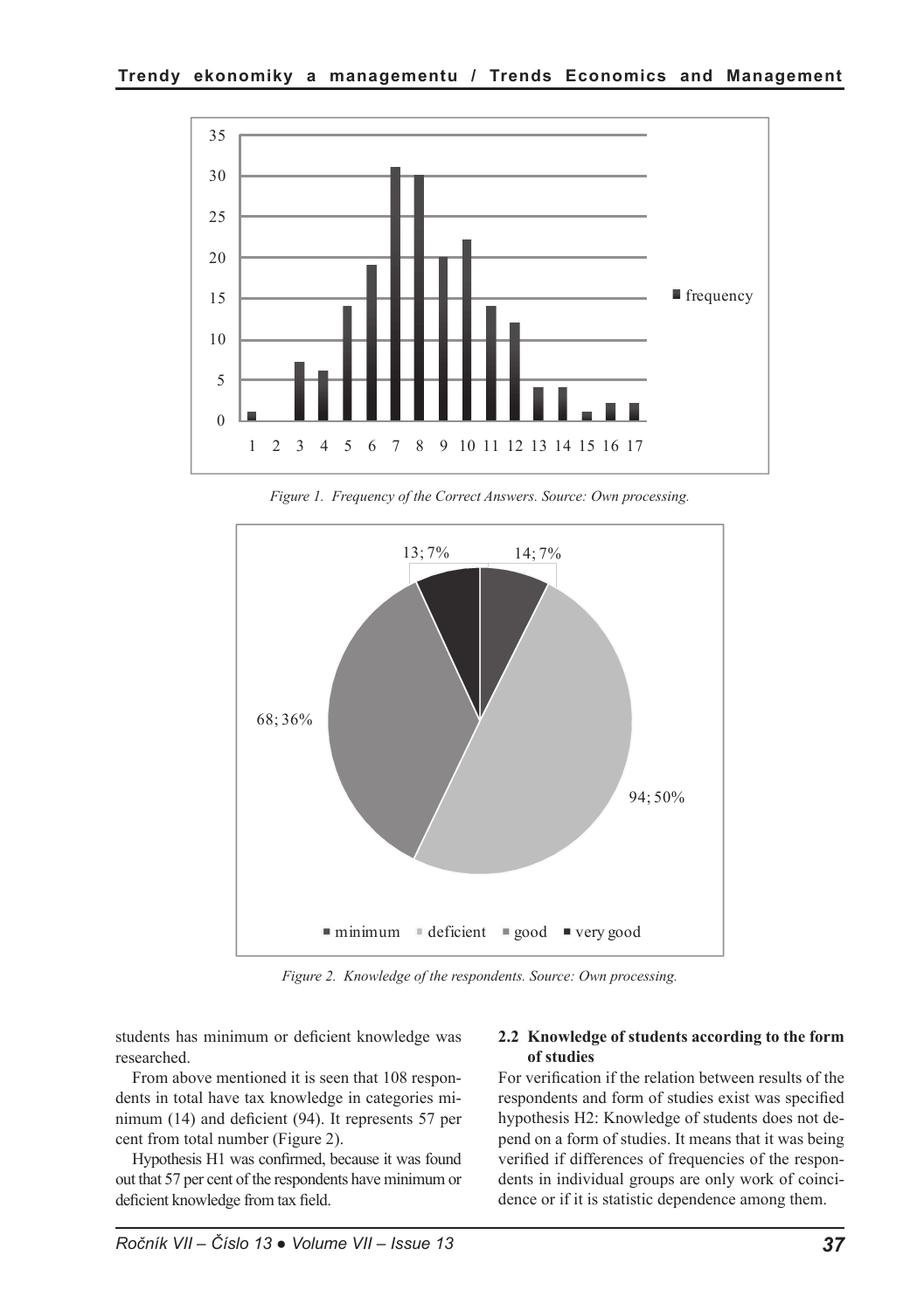

*Figure 1. Frequency of the Correct Answers. Source: Own processing.*



*Figure 2. Knowledge of the respondents. Source: Own processing.*

students has minimum or deficient knowledge was researched.

From above mentioned it is seen that 108 respondents in total have tax knowledge in categories minimum (14) and deficient (94). It represents 57 per cent from total number (Figure 2).

Hypothesis H1 was confirmed, because it was found out that 57 per cent of the respondents have minimum or deficient knowledge from tax field.

### **2.2 Knowledge of students according to the form of studies**

For verification if the relation between results of the respondents and form of studies exist was specified hypothesis H2: Knowledge of students does not depend on a form of studies. It means that it was being verified if differences of frequencies of the respondents in individual groups are only work of coincidence or if it is statistic dependence among them.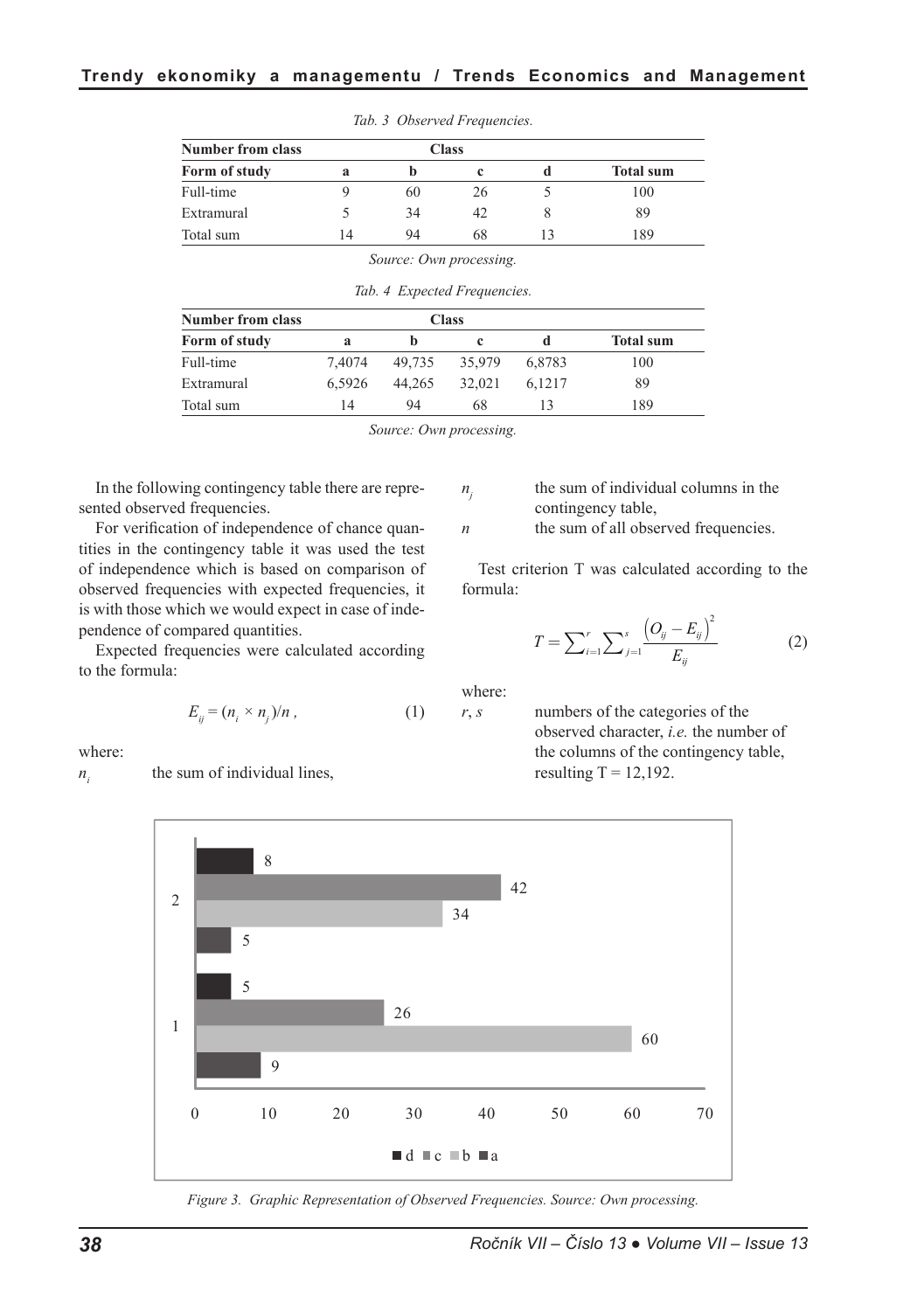| <b>Number from class</b><br>Form of study | <b>Class</b> |    |    |    |                  |
|-------------------------------------------|--------------|----|----|----|------------------|
|                                           | a            |    |    |    | <b>Total sum</b> |
| Full-time                                 |              | 60 | 26 |    | 100              |
| Extramural                                |              | 34 | 42 |    | 89               |
| Total sum                                 | 14           | 94 | 68 | 13 | 189              |

*Tab. 3 Observed Frequencies.*

*Source: Own processing.*

*Tab. 4 Expected Frequencies.*

| <b>Number from class</b> |        |        | <b>Class</b> | <b>Total sum</b><br>đ |     |
|--------------------------|--------|--------|--------------|-----------------------|-----|
| Form of study            | a      |        |              |                       |     |
| Full-time                | 7.4074 | 49.735 | 35.979       | 6.8783                | 100 |
| Extramural               | 6.5926 | 44.265 | 32.021       | 6.1217                | 89  |
| Total sum                | 14     | 94     | 68           | 13                    | 189 |

*Source: Own processing.*

In the following contingency table there are represented observed frequencies.

For verification of independence of chance quantities in the contingency table it was used the test of independence which is based on comparison of observed frequencies with expected frequencies, it is with those which we would expect in case of independence of compared quantities.

Expected frequencies were calculated according to the formula:

$$
E_{ij} = (n_i \times n_j)/n , \qquad (1)
$$

where:

 $n_i$  the sum of individual lines,

 $n<sub>j</sub>$  the sum of individual columns in the contingency table,

*n* the sum of all observed frequencies.

Test criterion T was calculated according to the formula:

$$
T = \sum_{i=1}^{r} \sum_{j=1}^{s} \frac{\left(O_{ij} - E_{ij}\right)^{2}}{E_{ij}}
$$
 (2)

where:

*r*, *s* numbers of the categories of the observed character, *i.e.* the number of the columns of the contingency table, resulting  $T = 12,192$ .



*Figure 3. Graphic Representation of Observed Frequencies. Source: Own processing.*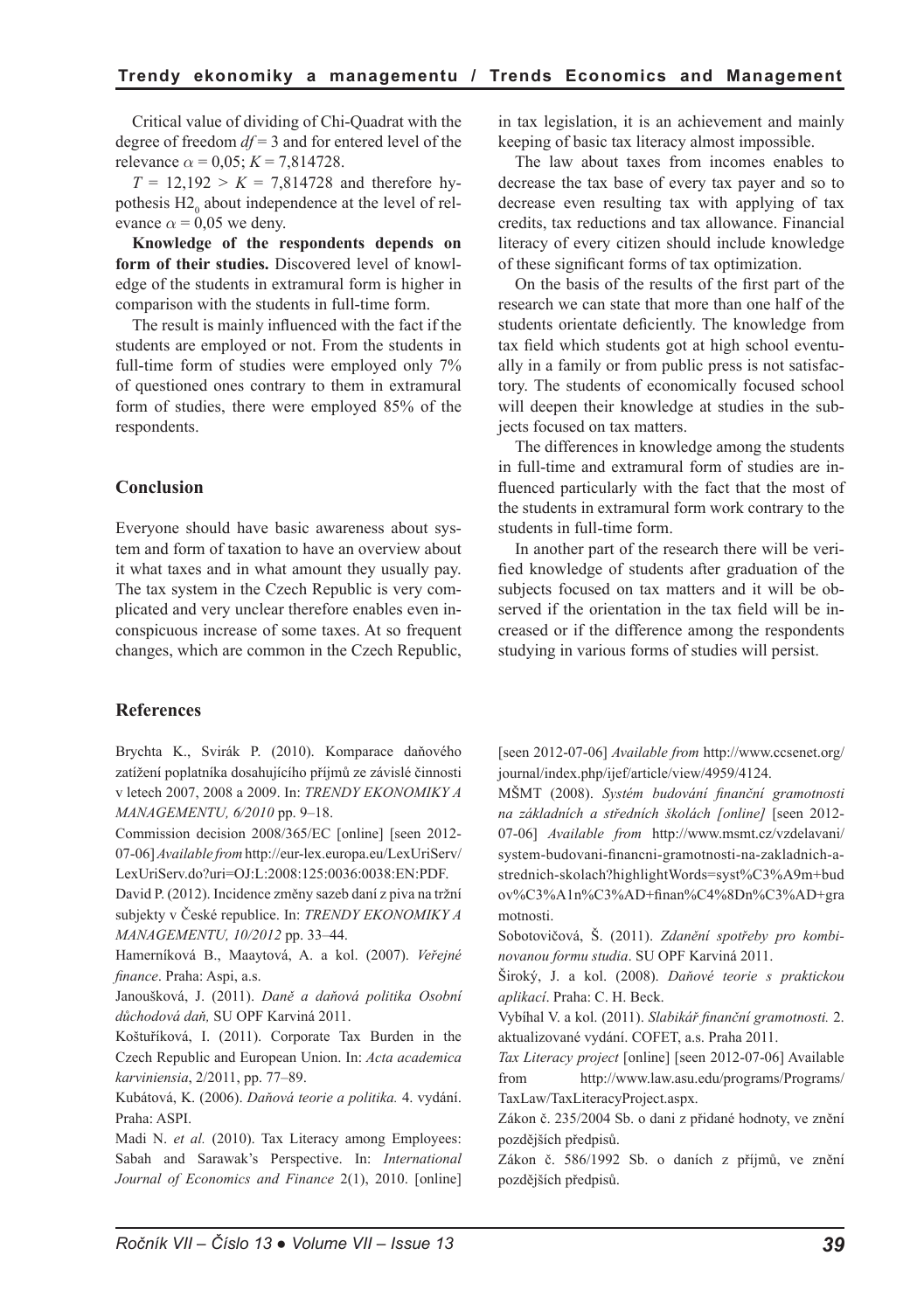Critical value of dividing of Chi-Quadrat with the degree of freedom *df* = 3 and for entered level of the relevance  $\alpha = 0.05$ ;  $K = 7,814728$ .

 $T = 12,192 > K = 7,814728$  and therefore hypothesis  $H2_0$  about independence at the level of relevance  $\alpha$  = 0,05 we deny.

**Knowledge of the respondents depends on form of their studies.** Discovered level of knowledge of the students in extramural form is higher in comparison with the students in full-time form.

The result is mainly influenced with the fact if the students are employed or not. From the students in full-time form of studies were employed only 7% of questioned ones contrary to them in extramural form of studies, there were employed 85% of the respondents.

## **Conclusion**

Everyone should have basic awareness about system and form of taxation to have an overview about it what taxes and in what amount they usually pay. The tax system in the Czech Republic is very complicated and very unclear therefore enables even inconspicuous increase of some taxes. At so frequent changes, which are common in the Czech Republic,

## **References**

Brychta K., Svirák P. (2010). Komparace daňového zatížení poplatníka dosahujícího příjmů ze závislé činnosti v letech 2007, 2008 a 2009. In: *TRENDY EKONOMIKY A MANAGEMENTU, 6/2010* pp. 9–18.

Commission decision 2008/365/EC [online] [seen 2012- 07-06] *Available from* http://eur-lex.europa.eu/LexUriServ/ LexUriServ.do?uri=OJ:L:2008:125:0036:0038:EN:PDF.

David P. (2012). Incidence změny sazeb daní z piva na tržní subjekty v České republice. In: *TRENDY EKONOMIKY A MANAGEMENTU, 10/2012* pp. 33–44.

Hamerníková B., Maaytová, A. a kol. (2007). *Veřejné finance*. Praha: Aspi, a.s.

Janoušková, J. (2011). *Daně a daňová politika Osobní důchodová daň,* SU OPF Karviná 2011.

Koštuříková, I. (2011). Corporate Tax Burden in the Czech Republic and European Union. In: *Acta academica karviniensia*, 2/2011, pp. 77–89.

Kubátová, K. (2006). *Daňová teorie a politika.* 4. vydání. Praha: ASPI.

Madi N. *et al.* (2010). Tax Literacy among Employees: Sabah and Sarawak's Perspective. In: *International Journal of Economics and Finance* 2(1), 2010. [online] in tax legislation, it is an achievement and mainly keeping of basic tax literacy almost impossible.

The law about taxes from incomes enables to decrease the tax base of every tax payer and so to decrease even resulting tax with applying of tax credits, tax reductions and tax allowance. Financial literacy of every citizen should include knowledge of these significant forms of tax optimization.

On the basis of the results of the first part of the research we can state that more than one half of the students orientate deficiently. The knowledge from tax field which students got at high school eventually in a family or from public press is not satisfactory. The students of economically focused school will deepen their knowledge at studies in the subjects focused on tax matters.

The differences in knowledge among the students in full-time and extramural form of studies are influenced particularly with the fact that the most of the students in extramural form work contrary to the students in full-time form.

In another part of the research there will be verified knowledge of students after graduation of the subjects focused on tax matters and it will be observed if the orientation in the tax field will be increased or if the difference among the respondents studying in various forms of studies will persist.

[seen 2012-07-06] *Available from* http://www.ccsenet.org/ journal/index.php/ijef/article/view/4959/4124.

MŠMT (2008). *Systém budování finanční gramotnosti na základních a středních školách [online]* [seen 2012- 07-06] *Available from* http://www.msmt.cz/vzdelavani/ system-budovani-financni-gramotnosti-na-zakladnich-astrednich-skolach?highlightWords=syst%C3%A9m+bud ov%C3%A1n%C3%AD+finan%C4%8Dn%C3%AD+gra motnosti.

Sobotovičová, Š. (2011). *Zdanění spotřeby pro kombinovanou formu studia*. SU OPF Karviná 2011.

Široký, J. a kol. (2008). *Daňové teorie s praktickou aplikací*. Praha: C. H. Beck.

Vybíhal V. a kol. (2011). *Slabikář finanční gramotnosti.* 2. aktualizované vydání. COFET, a.s. Praha 2011.

*Tax Literacy project* [online] [seen 2012-07-06] Available from http://www.law.asu.edu/programs/Programs/ TaxLaw/TaxLiteracyProject.aspx.

Zákon č. 235/2004 Sb. o dani z přidané hodnoty, ve znění pozdějších předpisů.

Zákon č. 586/1992 Sb. o daních z příjmů, ve znění pozdějších předpisů.